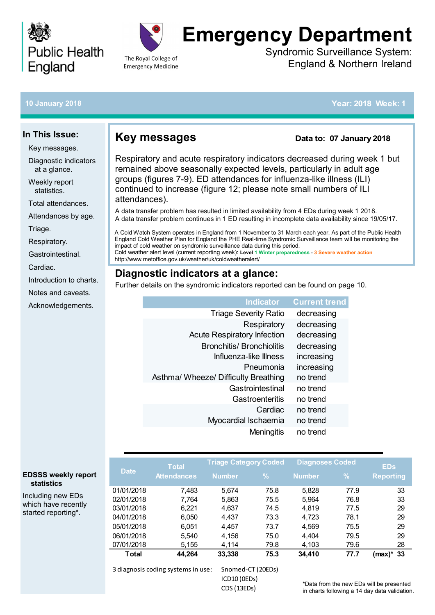



# **Emergency Department**

Syndromic Surveillance System: England & Northern Ireland

#### **10 January 2018**

**In This Issue:**

Key messages.

Diagnostic indicators at a glance. Weekly report statistics.

[Total attendances.](#page-1-0) [Attendances by age.](#page-1-0)

[Introduction to charts.](#page-9-0) [Notes and caveats.](#page-9-0) [Acknowledgements.](#page-9-0)

[Triage.](#page-2-0)

[Cardiac.](#page-8-0)

[Respiratory.](#page-3-0) [Gastrointestinal.](#page-7-0)

#### **Key messages**

#### **Data to: 07 January 2018**

### **Diagnostic indicators at a glance:**

| <b>Indicator</b>                     | <b>Current trend</b> |
|--------------------------------------|----------------------|
| <b>Triage Severity Ratio</b>         | decreasing           |
| Respiratory                          | decreasing           |
| <b>Acute Respiratory Infection</b>   | decreasing           |
| <b>Bronchitis/ Bronchiolitis</b>     | decreasing           |
| Influenza-like Illness               | increasing           |
| Pneumonia                            | increasing           |
| Asthma/ Wheeze/ Difficulty Breathing | no trend             |
| Gastrointestinal                     | no trend             |
| Gastroenteritis                      | no trend             |
| Cardiac                              | no trend             |
| Myocardial Ischaemia                 | no trend             |
| Meningitis                           | no trend             |

|               |                                                                                                                                                                                                                                                                                                                                                                                                                                                                                |                                    |                        |                          |      | <b>Year: 2018 Week: 1</b>                     |
|---------------|--------------------------------------------------------------------------------------------------------------------------------------------------------------------------------------------------------------------------------------------------------------------------------------------------------------------------------------------------------------------------------------------------------------------------------------------------------------------------------|------------------------------------|------------------------|--------------------------|------|-----------------------------------------------|
|               | <b>Key messages</b>                                                                                                                                                                                                                                                                                                                                                                                                                                                            |                                    |                        | Data to: 07 January 2018 |      |                                               |
| attendances). | Respiratory and acute respiratory indicators decreased during week 1 but<br>remained above seasonally expected levels, particularly in adult age<br>groups (figures 7-9). ED attendances for influenza-like illness (ILI)<br>continued to increase (figure 12; please note small numbers of ILI                                                                                                                                                                                |                                    |                        |                          |      |                                               |
|               | A data transfer problem has resulted in limited availability from 4 EDs during week 1 2018.<br>A data transfer problem continues in 1 ED resulting in incomplete data availability since 19/05/17.                                                                                                                                                                                                                                                                             |                                    |                        |                          |      |                                               |
|               | A Cold Watch System operates in England from 1 November to 31 March each year. As part of the Public Health<br>England Cold Weather Plan for England the PHE Real-time Syndromic Surveillance team will be monitoring the<br>impact of cold weather on syndromic surveillance data during this period.<br>Cold weather alert level (current reporting week): Level 1 Winter preparedness - 3 Severe weather action<br>http://www.metoffice.gov.uk/weather/uk/coldweatheralert/ |                                    |                        |                          |      |                                               |
|               | Diagnostic indicators at a glance:                                                                                                                                                                                                                                                                                                                                                                                                                                             |                                    |                        |                          |      |                                               |
|               | Further details on the syndromic indicators reported can be found on page 10.                                                                                                                                                                                                                                                                                                                                                                                                  |                                    |                        |                          |      |                                               |
|               |                                                                                                                                                                                                                                                                                                                                                                                                                                                                                |                                    | <b>Indicator</b>       | <b>Current trend</b>     |      |                                               |
|               |                                                                                                                                                                                                                                                                                                                                                                                                                                                                                | <b>Triage Severity Ratio</b>       |                        | decreasing               |      |                                               |
|               |                                                                                                                                                                                                                                                                                                                                                                                                                                                                                |                                    | Respiratory            | decreasing               |      |                                               |
|               |                                                                                                                                                                                                                                                                                                                                                                                                                                                                                | <b>Acute Respiratory Infection</b> |                        | decreasing               |      |                                               |
|               |                                                                                                                                                                                                                                                                                                                                                                                                                                                                                | <b>Bronchitis/ Bronchiolitis</b>   |                        | decreasing               |      |                                               |
|               |                                                                                                                                                                                                                                                                                                                                                                                                                                                                                |                                    | Influenza-like Illness | increasing               |      |                                               |
|               |                                                                                                                                                                                                                                                                                                                                                                                                                                                                                |                                    | Pneumonia              | increasing               |      |                                               |
|               | Asthma/ Wheeze/ Difficulty Breathing                                                                                                                                                                                                                                                                                                                                                                                                                                           |                                    |                        | no trend                 |      |                                               |
|               |                                                                                                                                                                                                                                                                                                                                                                                                                                                                                |                                    |                        |                          |      |                                               |
|               |                                                                                                                                                                                                                                                                                                                                                                                                                                                                                |                                    | Gastrointestinal       | no trend                 |      |                                               |
|               |                                                                                                                                                                                                                                                                                                                                                                                                                                                                                |                                    | <b>Gastroenteritis</b> | no trend                 |      |                                               |
|               |                                                                                                                                                                                                                                                                                                                                                                                                                                                                                |                                    | Cardiac                | no trend                 |      |                                               |
|               |                                                                                                                                                                                                                                                                                                                                                                                                                                                                                | Myocardial Ischaemia               |                        | no trend                 |      |                                               |
|               |                                                                                                                                                                                                                                                                                                                                                                                                                                                                                |                                    | Meningitis             | no trend                 |      |                                               |
|               |                                                                                                                                                                                                                                                                                                                                                                                                                                                                                | <b>Triage Category Coded</b>       |                        | <b>Diagnoses Coded</b>   |      |                                               |
| <b>Date</b>   | <b>Total</b><br><b>Attendances</b>                                                                                                                                                                                                                                                                                                                                                                                                                                             | <b>Number</b>                      | %                      | <b>Number</b>            | %    | <b>EDs</b><br><b>Reporting</b>                |
| 01/01/2018    | 7,483                                                                                                                                                                                                                                                                                                                                                                                                                                                                          | 5,674                              | 75.8                   | 5,828                    | 77.9 | 33                                            |
| 02/01/2018    | 7,764                                                                                                                                                                                                                                                                                                                                                                                                                                                                          | 5,863                              | 75.5                   | 5,964                    | 76.8 | 33                                            |
| 03/01/2018    | 6,221                                                                                                                                                                                                                                                                                                                                                                                                                                                                          | 4,637                              | 74.5                   | 4,819                    | 77.5 | 29                                            |
| 04/01/2018    | 6,050                                                                                                                                                                                                                                                                                                                                                                                                                                                                          | 4,437                              | 73.3                   | 4,723                    | 78.1 | 29                                            |
| 05/01/2018    | 6,051                                                                                                                                                                                                                                                                                                                                                                                                                                                                          | 4,457                              | 73.7                   | 4,569                    | 75.5 | 29                                            |
| 06/01/2018    | 5,540                                                                                                                                                                                                                                                                                                                                                                                                                                                                          | 4,156                              | 75.0                   | 4,404                    | 79.5 | 29                                            |
| 07/01/2018    | 5,155                                                                                                                                                                                                                                                                                                                                                                                                                                                                          | 4,114                              | 79.8                   | 4,103                    | 79.6 | 28                                            |
| <b>Total</b>  | 44,264                                                                                                                                                                                                                                                                                                                                                                                                                                                                         | 33,338                             | 75.3                   | 34,410                   | 77.7 | $(max)^*$<br>33                               |
|               | 3 diagnosis coding systems in use:                                                                                                                                                                                                                                                                                                                                                                                                                                             | Snomed-CT (20EDs)                  |                        |                          |      |                                               |
|               |                                                                                                                                                                                                                                                                                                                                                                                                                                                                                | ICD10 (OEDs)                       |                        |                          |      | *Data from the new EDs will be presented      |
|               |                                                                                                                                                                                                                                                                                                                                                                                                                                                                                | CDS (13EDs)                        |                        |                          |      | in charts following a 14 day data validation. |

\*Data from the new EDs will be presented

#### **EDSSS weekly report statistics**

Including new EDs which have recently started reporting\*.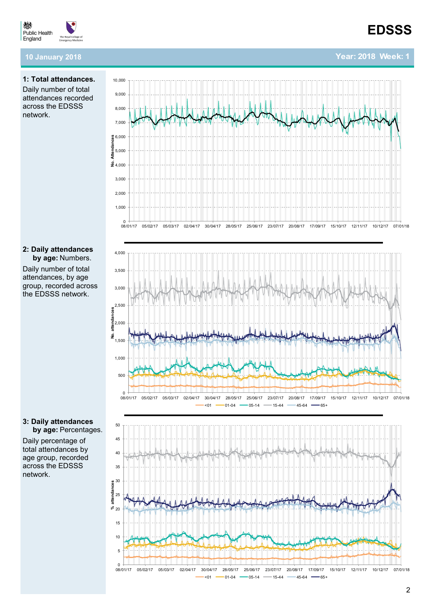**Year: 2018 Week: 1**

<span id="page-1-0"></span>

#### **10 January 2018.**

#### **1: Total attendances.** Daily number of total attendances recorded across the EDSSS network.

#### **2: Daily attendances by age:** Numbers.

Daily number of total attendances, by age group, recorded across the EDSSS network.



Daily percentage of total attendances by age group, recorded across the EDSSS network.





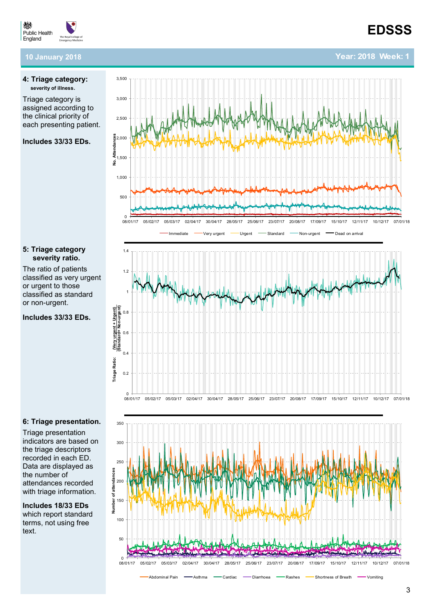**Year: 2018 Week: 1**

<span id="page-2-0"></span>

#### **10 January 2018**

#### **4: Triage category: severity of illness** .

Triage category is assigned according to the clinical priority of each presenting patient. 3,500

**Includes 33/33 EDs.** 

## 500 1,000 1,500 2,000 2,500 3,000 08/01/17 05/02/17 05/02/17 02/04/17 30/04/17 28/05/17 25/06/17 23/07/17 20/08/17 17/09/17 15/10/17 12/11/17 10/12/17 07/01/18

#### **5: Triage category severity ratio.**

The ratio of patients classified as very urgent or urgent to those classified as standard or non -urgent.

**Includes 33/33 EDs.** 



#### **6: Triage presentation.**

Triage presentation indicators are based on the triage descriptors recorded in each ED. Data are displayed as the number of attendances recorded with triage information. 5: Triage category<br>
severity ratio.<br>
The ratio of patients<br>
classified as very urgent<br>
or urgent to those<br>
classified as standard<br>
or non-urgent.<br>
Includes 33/33 EDs.<br>
Includes 33/33 EDs.<br>
Served in the second of the tria

**Includes 18/33 EDs**  which report standard terms, not using free

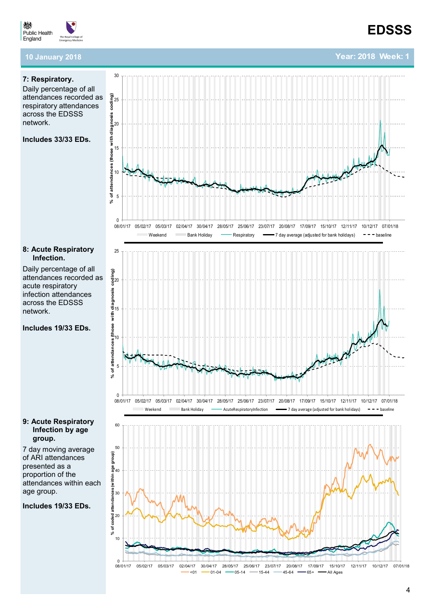<span id="page-3-0"></span>

#### **10 January 2018**

#### **7: Respiratory.**

Daily percentage of all attendances recorded as respiratory attendances across the EDSSS network.

30

#### **Includes 33/33 EDs.**



#### **8: Acute Respiratory Infection.**

Daily percentage of all attendances recorded as acute respiratory infection attendances across the EDSSS network.

#### **Includes 19/33 EDs.**

#### **9: Acute Respiratory Infection by age group.**

7 day moving average of ARI attendances presented as a proportion of the attendances within each age group.

**Includes 19/33 EDs.** 





### **EDSSS**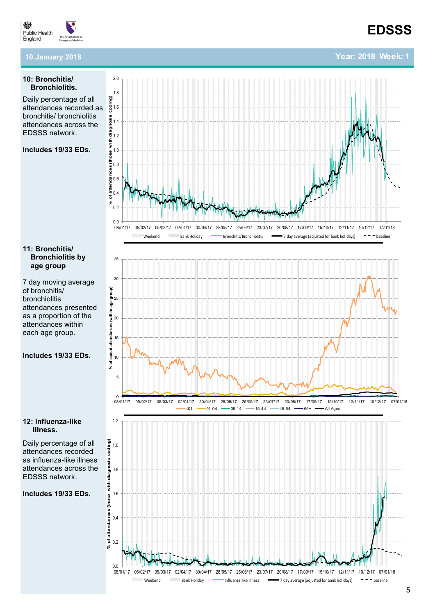**Year: 2018 Week: 1**

#### 燃 **Public Health** England

#### **10 January 2018.**

#### **10: Bronchitis/ Bronchiolitis.**

Daily percentage of all attendances recorded as  $\frac{8}{8}$ <sup>1.6</sup> bronchitis/ bronchiolitis attendances across the EDSSS network.

#### **Includes 19/33 EDs.**

#### **11: Bronchitis/ Bronchiolitis by age group**

7 day moving average of bronchitis/ bronchiolitis attendances presented as a proportion of the attendances within each age group.

#### **Includes 19/33 EDs.**

#### **12: Influenza-like Illness.**

Daily percentage of all attendances recorded as influenza-like illness attendances across the EDSSS network.

#### **Includes 19/33 EDs.**





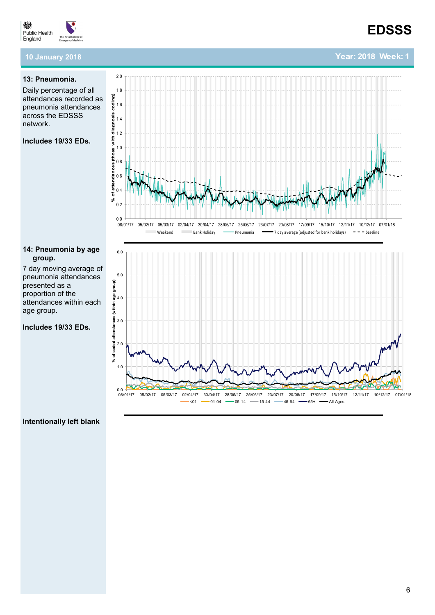**Year: 2018 Week: 1**



#### **10 January 2018.**

#### **13: Pneumonia.**

Daily percentage of all attendances recorded as pneumonia attendances across the EDSSS network.

#### **Includes 19/33 EDs.**

#### **14: Pneumonia by age group.**

7 day moving average of pneumonia attendances presented as a proportion of the attendances within each age group.

**Includes 19/33 EDs.** 





#### **Intentionally left blank**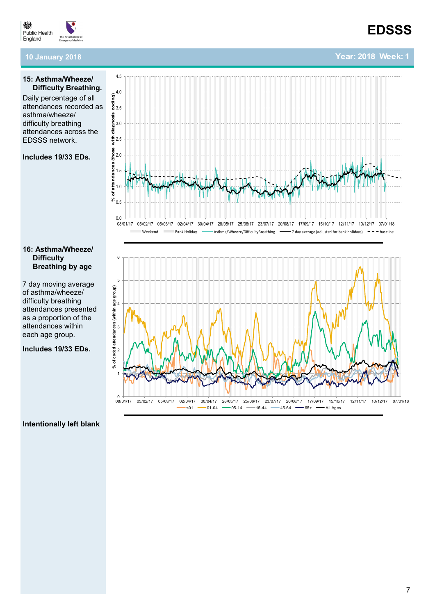

#### **10 January 2018.**

#### **15: Asthma/Wheeze/ Difficulty Breathing.**

Daily percentage of all attendances recorded as asthma/wheeze/ difficulty breathing attendances across the EDSSS network.

#### **Includes 19/33 EDs.**

#### **16: Asthma/Wheeze/ Difficulty Breathing by age**

7 day moving average of asthma/wheeze/ difficulty breathing attendances presented as a proportion of the attendances within each age group.

**Includes 19/33 EDs.** 





#### **Intentionally left blank**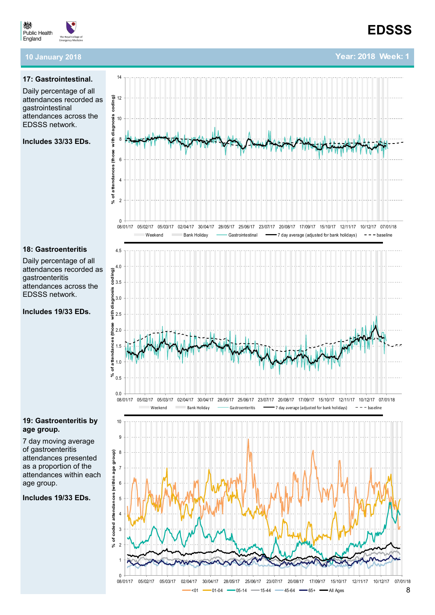**Year: 2018 Week: 1**

<span id="page-7-0"></span>

#### **10 January 2018.**

#### **17: Gastrointestinal.**

Daily percentage of all attendances recorded as gastrointestinal attendances across the EDSSS network.

**Includes 33/33 EDs.** 



#### **18: Gastroenteritis**

Daily percentage of all attendances recorded as gastroenteritis attendances across the EDSSS network.

**Includes 19/33 EDs.** 

#### **19: Gastroenteritis by age group.**

7 day moving average of gastroenteritis attendances presented as a proportion of the attendances within each age group.

**Includes 19/33 EDs.** 



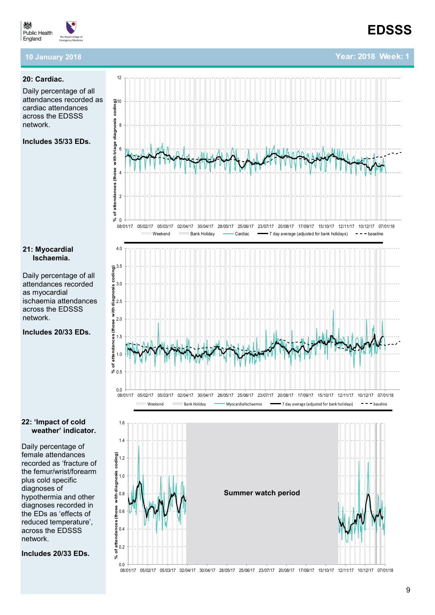

**Year: 2018 Week: 1**

#### <span id="page-8-0"></span>嫐 **Public Health** England

#### **10 January 2018.**

#### **20: Cardiac.**

Daily percentage of all attendances recorded as cardiac attendances across the EDSSS network.

**Includes 35/33 EDs.** 

**21: Myocardial Ischaemia.**

as myocardial

network.

Daily percentage of all attendances recorded

ischaemia attendances across the EDSSS

**Includes 20/33 EDs.** 



#### **22: 'Impact of cold weather' indicator.**

Daily percentage of female attendances recorded as 'fracture of the femur/wrist/forearm plus cold specific diagnoses of hypothermia and other diagnoses recorded in the EDs as 'effects of reduced temperature', across the EDSSS network.

**Includes 20/33 EDs.** 



0.0